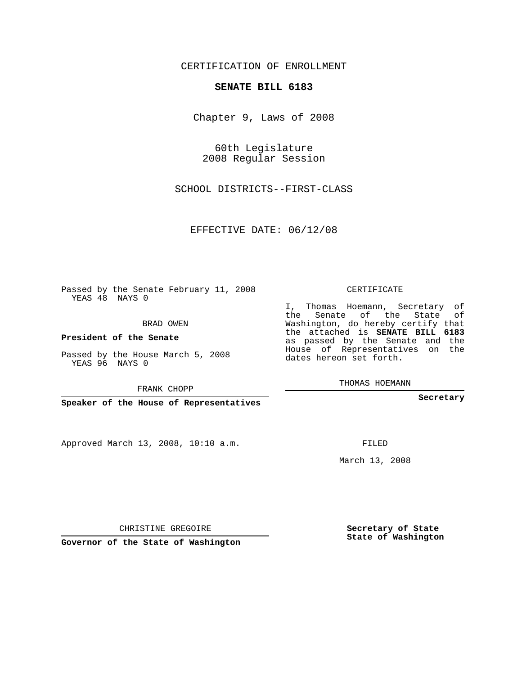CERTIFICATION OF ENROLLMENT

## **SENATE BILL 6183**

Chapter 9, Laws of 2008

60th Legislature 2008 Regular Session

SCHOOL DISTRICTS--FIRST-CLASS

EFFECTIVE DATE: 06/12/08

Passed by the Senate February 11, 2008 YEAS 48 NAYS 0

BRAD OWEN

**President of the Senate**

Passed by the House March 5, 2008 YEAS 96 NAYS 0

FRANK CHOPP

**Speaker of the House of Representatives**

Approved March 13, 2008, 10:10 a.m.

CERTIFICATE

I, Thomas Hoemann, Secretary of the Senate of the State of Washington, do hereby certify that the attached is **SENATE BILL 6183** as passed by the Senate and the House of Representatives on the dates hereon set forth.

THOMAS HOEMANN

**Secretary**

FILED

March 13, 2008

**Secretary of State State of Washington**

CHRISTINE GREGOIRE

**Governor of the State of Washington**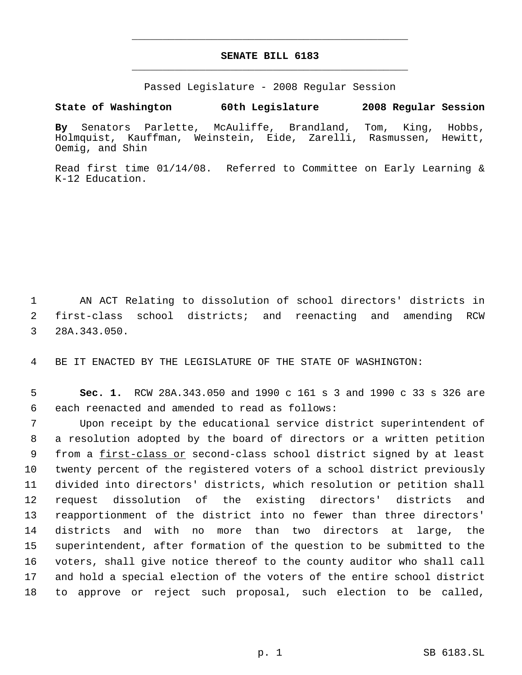## **SENATE BILL 6183** \_\_\_\_\_\_\_\_\_\_\_\_\_\_\_\_\_\_\_\_\_\_\_\_\_\_\_\_\_\_\_\_\_\_\_\_\_\_\_\_\_\_\_\_\_

\_\_\_\_\_\_\_\_\_\_\_\_\_\_\_\_\_\_\_\_\_\_\_\_\_\_\_\_\_\_\_\_\_\_\_\_\_\_\_\_\_\_\_\_\_

Passed Legislature - 2008 Regular Session

## **State of Washington 60th Legislature 2008 Regular Session**

**By** Senators Parlette, McAuliffe, Brandland, Tom, King, Hobbs, Holmquist, Kauffman, Weinstein, Eide, Zarelli, Rasmussen, Hewitt, Oemig, and Shin

Read first time 01/14/08. Referred to Committee on Early Learning & K-12 Education.

 1 AN ACT Relating to dissolution of school directors' districts in 2 first-class school districts; and reenacting and amending RCW 3 28A.343.050.

4 BE IT ENACTED BY THE LEGISLATURE OF THE STATE OF WASHINGTON:

 5 **Sec. 1.** RCW 28A.343.050 and 1990 c 161 s 3 and 1990 c 33 s 326 are 6 each reenacted and amended to read as follows:

 Upon receipt by the educational service district superintendent of a resolution adopted by the board of directors or a written petition 9 from a first-class or second-class school district signed by at least twenty percent of the registered voters of a school district previously divided into directors' districts, which resolution or petition shall request dissolution of the existing directors' districts and reapportionment of the district into no fewer than three directors' districts and with no more than two directors at large, the superintendent, after formation of the question to be submitted to the voters, shall give notice thereof to the county auditor who shall call and hold a special election of the voters of the entire school district to approve or reject such proposal, such election to be called,